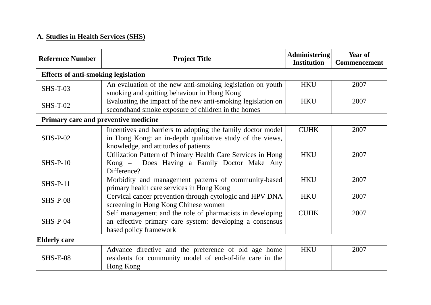## **A. Studies in Health Services (SHS)**

| <b>Reference Number</b>                    | <b>Project Title</b>                                                                                                                                             | Administering<br><b>Institution</b> | Year of<br><b>Commencement</b> |  |
|--------------------------------------------|------------------------------------------------------------------------------------------------------------------------------------------------------------------|-------------------------------------|--------------------------------|--|
| <b>Effects of anti-smoking legislation</b> |                                                                                                                                                                  |                                     |                                |  |
| <b>SHS-T-03</b>                            | An evaluation of the new anti-smoking legislation on youth<br>smoking and quitting behaviour in Hong Kong                                                        | <b>HKU</b>                          | 2007                           |  |
| <b>SHS-T-02</b>                            | Evaluating the impact of the new anti-smoking legislation on<br>secondhand smoke exposure of children in the homes                                               | <b>HKU</b>                          | 2007                           |  |
| Primary care and preventive medicine       |                                                                                                                                                                  |                                     |                                |  |
| $SHS-P-02$                                 | Incentives and barriers to adopting the family doctor model<br>in Hong Kong: an in-depth qualitative study of the views,<br>knowledge, and attitudes of patients | <b>CUHK</b>                         | 2007                           |  |
| $SHS-P-10$                                 | Utilization Pattern of Primary Health Care Services in Hong<br>Kong – Does Having a Family Doctor Make Any<br>Difference?                                        | <b>HKU</b>                          | 2007                           |  |
| $SHS-P-11$                                 | Morbidity and management patterns of community-based<br>primary health care services in Hong Kong                                                                | <b>HKU</b>                          | 2007                           |  |
| <b>SHS-P-08</b>                            | Cervical cancer prevention through cytologic and HPV DNA<br>screening in Hong Kong Chinese women                                                                 | <b>HKU</b>                          | 2007                           |  |
| $SHS-P-04$                                 | Self management and the role of pharmacists in developing<br>an effective primary care system: developing a consensus<br>based policy framework                  | <b>CUHK</b>                         | 2007                           |  |
| <b>Elderly care</b>                        |                                                                                                                                                                  |                                     |                                |  |
| $SHS-E-08$                                 | Advance directive and the preference of old age home<br>residents for community model of end-of-life care in the<br>Hong Kong                                    | <b>HKU</b>                          | 2007                           |  |